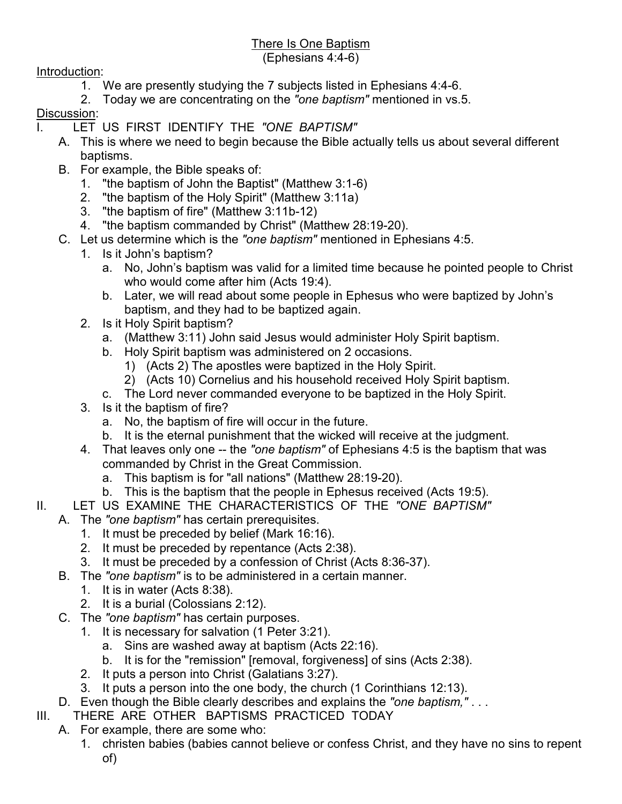## There Is One Baptism

## (Ephesians 4:4-6)

Introduction:

- 1. We are presently studying the 7 subjects listed in Ephesians 4:4-6.
- 2. Today we are concentrating on the *"one baptism"* mentioned in vs.5.

## Discussion:

- I. LET US FIRST IDENTIFY THE *"ONE BAPTISM"*
	- A. This is where we need to begin because the Bible actually tells us about several different baptisms.
	- B. For example, the Bible speaks of:
		- 1. "the baptism of John the Baptist" (Matthew 3:1-6)
		- 2. "the baptism of the Holy Spirit" (Matthew 3:11a)
		- 3. "the baptism of fire" (Matthew 3:11b-12)
		- 4. "the baptism commanded by Christ" (Matthew 28:19-20).
	- C. Let us determine which is the *"one baptism"* mentioned in Ephesians 4:5.
		- 1. Is it John's baptism?
			- a. No, John's baptism was valid for a limited time because he pointed people to Christ who would come after him (Acts 19:4).
			- b. Later, we will read about some people in Ephesus who were baptized by John's baptism, and they had to be baptized again.
		- 2. Is it Holy Spirit baptism?
			- a. (Matthew 3:11) John said Jesus would administer Holy Spirit baptism.
			- b. Holy Spirit baptism was administered on 2 occasions.
				- 1) (Acts 2) The apostles were baptized in the Holy Spirit.
				- 2) (Acts 10) Cornelius and his household received Holy Spirit baptism.
			- c. The Lord never commanded everyone to be baptized in the Holy Spirit.
		- 3. Is it the baptism of fire?
			- a. No, the baptism of fire will occur in the future.
			- b. It is the eternal punishment that the wicked will receive at the judgment.
		- 4. That leaves only one -- the *"one baptism"* of Ephesians 4:5 is the baptism that was commanded by Christ in the Great Commission.
			- a. This baptism is for "all nations" (Matthew 28:19-20).
			- b. This is the baptism that the people in Ephesus received (Acts 19:5).
- II. LET US EXAMINE THE CHARACTERISTICS OF THE *"ONE BAPTISM"*
	- A. The *"one baptism"* has certain prerequisites.
		- 1. It must be preceded by belief (Mark 16:16).
		- 2. It must be preceded by repentance (Acts 2:38).
		- 3. It must be preceded by a confession of Christ (Acts 8:36-37).
		- B. The *"one baptism"* is to be administered in a certain manner.
			- 1. It is in water (Acts 8:38).
			- 2. It is a burial (Colossians 2:12).
		- C. The *"one baptism"* has certain purposes.
			- 1. It is necessary for salvation (1 Peter 3:21).
				- a. Sins are washed away at baptism (Acts 22:16).
				- b. It is for the "remission" [removal, forgiveness] of sins (Acts 2:38).
			- 2. It puts a person into Christ (Galatians 3:27).
			- 3. It puts a person into the one body, the church (1 Corinthians 12:13).
		- D. Even though the Bible clearly describes and explains the *"one baptism,"* . . .
- III. THERE ARE OTHER BAPTISMS PRACTICED TODAY
	- A. For example, there are some who:
		- 1. christen babies (babies cannot believe or confess Christ, and they have no sins to repent of)